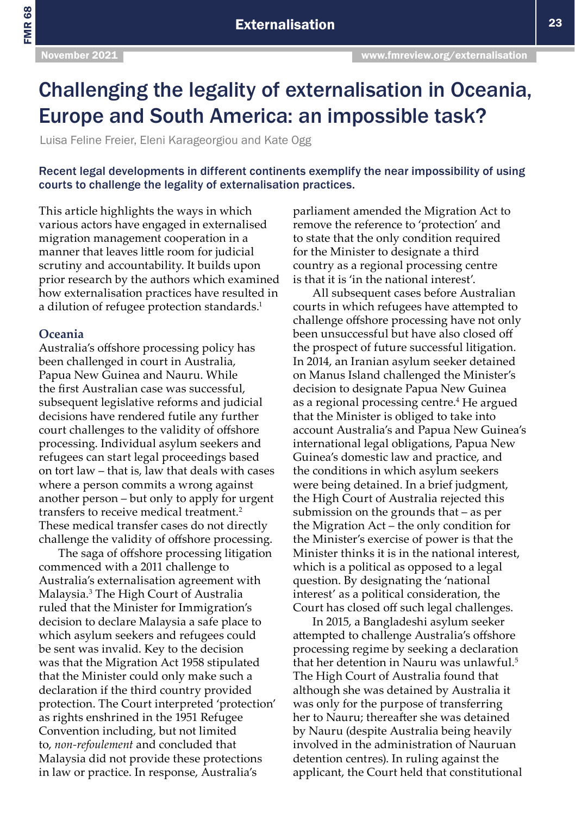FMR 68

# Challenging the legality of externalisation in Oceania, Europe and South America: an impossible task?

Luisa Feline Freier, Eleni Karageorgiou and Kate Ogg

Recent legal developments in different continents exemplify the near impossibility of using courts to challenge the legality of externalisation practices.

This article highlights the ways in which various actors have engaged in externalised migration management cooperation in a manner that leaves little room for judicial scrutiny and accountability. It builds upon prior research by the authors which examined how externalisation practices have resulted in a dilution of refugee protection standards.<sup>1</sup>

### **Oceania**

Australia's offshore processing policy has been challenged in court in Australia, Papua New Guinea and Nauru. While the first Australian case was successful, subsequent legislative reforms and judicial decisions have rendered futile any further court challenges to the validity of offshore processing. Individual asylum seekers and refugees can start legal proceedings based on tort law – that is, law that deals with cases where a person commits a wrong against another person – but only to apply for urgent transfers to receive medical treatment.<sup>2</sup> These medical transfer cases do not directly challenge the validity of offshore processing.

The saga of offshore processing litigation commenced with a 2011 challenge to Australia's externalisation agreement with Malaysia.3 The High Court of Australia ruled that the Minister for Immigration's decision to declare Malaysia a safe place to which asylum seekers and refugees could be sent was invalid. Key to the decision was that the Migration Act 1958 stipulated that the Minister could only make such a declaration if the third country provided protection. The Court interpreted 'protection' as rights enshrined in the 1951 Refugee Convention including, but not limited to, *non-refoulement* and concluded that Malaysia did not provide these protections in law or practice. In response, Australia's

parliament amended the Migration Act to remove the reference to 'protection' and to state that the only condition required for the Minister to designate a third country as a regional processing centre is that it is 'in the national interest'.

All subsequent cases before Australian courts in which refugees have attempted to challenge offshore processing have not only been unsuccessful but have also closed off the prospect of future successful litigation. In 2014, an Iranian asylum seeker detained on Manus Island challenged the Minister's decision to designate Papua New Guinea as a regional processing centre.<sup>4</sup> He argued that the Minister is obliged to take into account Australia's and Papua New Guinea's international legal obligations, Papua New Guinea's domestic law and practice, and the conditions in which asylum seekers were being detained. In a brief judgment, the High Court of Australia rejected this submission on the grounds that – as per the Migration Act – the only condition for the Minister's exercise of power is that the Minister thinks it is in the national interest, which is a political as opposed to a legal question. By designating the 'national interest' as a political consideration, the Court has closed off such legal challenges.

In 2015, a Bangladeshi asylum seeker attempted to challenge Australia's offshore processing regime by seeking a declaration that her detention in Nauru was unlawful.<sup>5</sup> The High Court of Australia found that although she was detained by Australia it was only for the purpose of transferring her to Nauru; thereafter she was detained by Nauru (despite Australia being heavily involved in the administration of Nauruan detention centres). In ruling against the applicant, the Court held that constitutional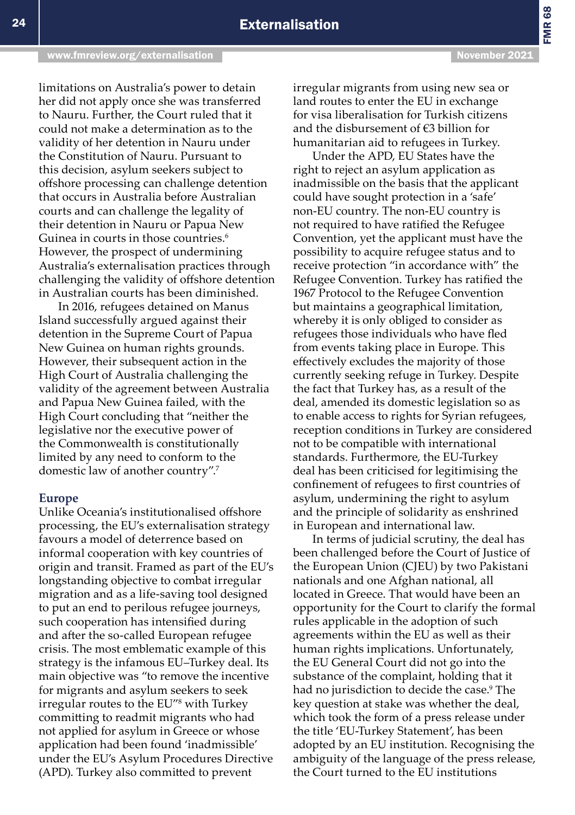limitations on Australia's power to detain her did not apply once she was transferred to Nauru. Further, the Court ruled that it could not make a determination as to the validity of her detention in Nauru under the Constitution of Nauru. Pursuant to this decision, asylum seekers subject to offshore processing can challenge detention that occurs in Australia before Australian courts and can challenge the legality of their detention in Nauru or Papua New Guinea in courts in those countries.<sup>6</sup> However, the prospect of undermining Australia's externalisation practices through challenging the validity of offshore detention in Australian courts has been diminished.

In 2016, refugees detained on Manus Island successfully argued against their detention in the Supreme Court of Papua New Guinea on human rights grounds. However, their subsequent action in the High Court of Australia challenging the validity of the agreement between Australia and Papua New Guinea failed, with the High Court concluding that "neither the legislative nor the executive power of the Commonwealth is constitutionally limited by any need to conform to the domestic law of another country".7

#### **Europe**

Unlike Oceania's institutionalised offshore processing, the EU's externalisation strategy favours a model of deterrence based on informal cooperation with key countries of origin and transit. Framed as part of the EU's longstanding objective to combat irregular migration and as a life-saving tool designed to put an end to perilous refugee journeys, such cooperation has intensified during and after the so-called European refugee crisis. The most emblematic example of this strategy is the infamous EU–Turkey deal. Its main objective was "to remove the incentive for migrants and asylum seekers to seek irregular routes to the EU"<sup>8</sup> with Turkey committing to readmit migrants who had not applied for asylum in Greece or whose application had been found 'inadmissible' under the EU's Asylum Procedures Directive (APD). Turkey also committed to prevent

irregular migrants from using new sea or land routes to enter the EU in exchange for visa liberalisation for Turkish citizens and the disbursement of €3 billion for humanitarian aid to refugees in Turkey.

Under the APD, EU States have the right to reject an asylum application as inadmissible on the basis that the applicant could have sought protection in a 'safe' non-EU country. The non-EU country is not required to have ratified the Refugee Convention, yet the applicant must have the possibility to acquire refugee status and to receive protection "in accordance with" the Refugee Convention. Turkey has ratified the 1967 Protocol to the Refugee Convention but maintains a geographical limitation, whereby it is only obliged to consider as refugees those individuals who have fled from events taking place in Europe. This effectively excludes the majority of those currently seeking refuge in Turkey. Despite the fact that Turkey has, as a result of the deal, amended its domestic legislation so as to enable access to rights for Syrian refugees, reception conditions in Turkey are considered not to be compatible with international standards. Furthermore, the EU-Turkey deal has been criticised for legitimising the confinement of refugees to first countries of asylum, undermining the right to asylum and the principle of solidarity as enshrined in European and international law.

In terms of judicial scrutiny, the deal has been challenged before the Court of Justice of the European Union (CJEU) by two Pakistani nationals and one Afghan national, all located in Greece. That would have been an opportunity for the Court to clarify the formal rules applicable in the adoption of such agreements within the EU as well as their human rights implications. Unfortunately, the EU General Court did not go into the substance of the complaint, holding that it had no jurisdiction to decide the case.9 The key question at stake was whether the deal, which took the form of a press release under the title 'EU-Turkey Statement', has been adopted by an EU institution. Recognising the ambiguity of the language of the press release, the Court turned to the EU institutions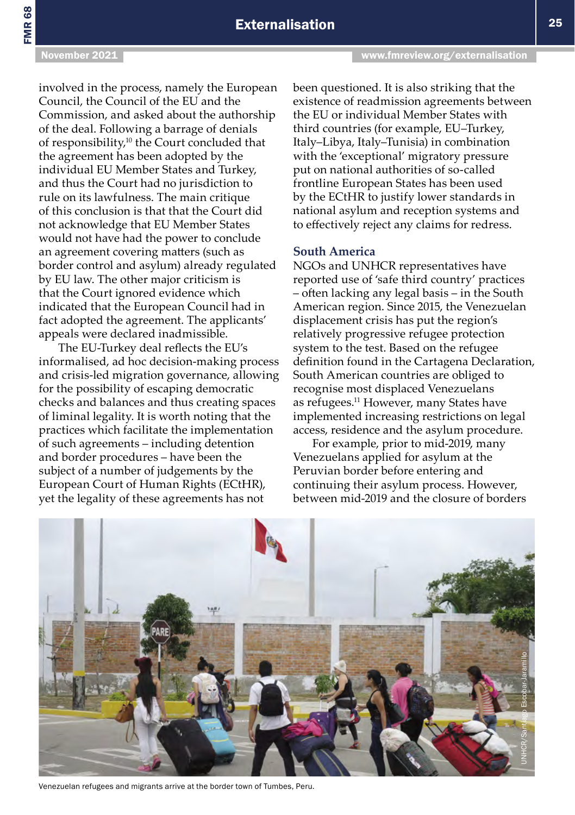## **Externalisation 25** and 25

FMR 68

involved in the process, namely the European Council, the Council of the EU and the Commission, and asked about the authorship of the deal. Following a barrage of denials of responsibility,10 the Court concluded that the agreement has been adopted by the individual EU Member States and Turkey, and thus the Court had no jurisdiction to rule on its lawfulness. The main critique of this conclusion is that that the Court did not acknowledge that EU Member States would not have had the power to conclude an agreement covering matters (such as border control and asylum) already regulated by EU law. The other major criticism is that the Court ignored evidence which indicated that the European Council had in fact adopted the agreement. The applicants' appeals were declared inadmissible.

The EU-Turkey deal reflects the EU's informalised, ad hoc decision-making process and crisis-led migration governance, allowing for the possibility of escaping democratic checks and balances and thus creating spaces of liminal legality. It is worth noting that the practices which facilitate the implementation of such agreements – including detention and border procedures – have been the subject of a number of judgements by the European Court of Human Rights (ECtHR), yet the legality of these agreements has not

been questioned. It is also striking that the existence of readmission agreements between the EU or individual Member States with third countries (for example, EU–Turkey, Italy–Libya, Italy–Tunisia) in combination with the 'exceptional' migratory pressure put on national authorities of so-called frontline European States has been used by the ECtHR to justify lower standards in national asylum and reception systems and to effectively reject any claims for redress.

### **South America**

NGOs and UNHCR representatives have reported use of 'safe third country' practices – often lacking any legal basis – in the South American region. Since 2015, the Venezuelan displacement crisis has put the region's relatively progressive refugee protection system to the test. Based on the refugee definition found in the Cartagena Declaration, South American countries are obliged to recognise most displaced Venezuelans as refugees.11 However, many States have implemented increasing restrictions on legal access, residence and the asylum procedure.

For example, prior to mid-2019, many Venezuelans applied for asylum at the Peruvian border before entering and continuing their asylum process. However, between mid-2019 and the closure of borders



Venezuelan refugees and migrants arrive at the border town of Tumbes, Peru.